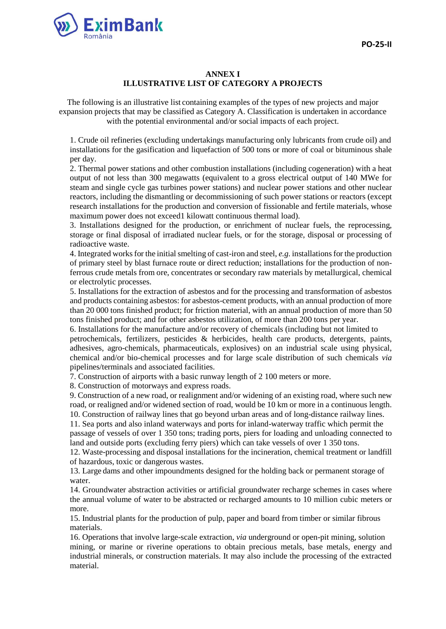

#### **ANNEX I ILLUSTRATIVE LIST OF CATEGORY A PROJECTS**

The following is an illustrative list containing examples of the types of new projects and major expansion projects that may be classified as Category A. Classification is undertaken in accordance with the potential environmental and/or social impacts of each project.

1. Crude oil refineries (excluding undertakings manufacturing only lubricants from crude oil) and installations for the gasification and liquefaction of 500 tons or more of coal or bituminous shale per day.

2. Thermal power stations and other combustion installations (including cogeneration) with a heat output of not less than 300 megawatts (equivalent to a gross electrical output of 140 MWe for steam and single cycle gas turbines power stations) and nuclear power stations and other nuclear reactors, including the dismantling or decommissioning of such power stations or reactors (except research installations for the production and conversion of fissionable and fertile materials, whose maximum power does not exceed1 kilowatt continuous thermal load).

3. Installations designed for the production, or enrichment of nuclear fuels, the reprocessing, storage or final disposal of irradiated nuclear fuels, or for the storage, disposal or processing of radioactive waste.

4. Integrated works for the initial smelting of cast-iron and steel, *e.g.* installations for the production of primary steel by blast furnace route or direct reduction; installations for the production of nonferrous crude metals from ore, concentrates or secondary raw materials by metallurgical, chemical or electrolytic processes.

5. Installations for the extraction of asbestos and for the processing and transformation of asbestos and products containing asbestos: for asbestos-cement products, with an annual production of more than 20 000 tons finished product; for friction material, with an annual production of more than 50 tons finished product; and for other asbestos utilization, of more than 200 tons per year.

6. Installations for the manufacture and/or recovery of chemicals (including but not limited to petrochemicals, fertilizers, pesticides & herbicides, health care products, detergents, paints, adhesives, agro-chemicals, pharmaceuticals, explosives) on an industrial scale using physical, chemical and/or bio-chemical processes and for large scale distribution of such chemicals *via*  pipelines/terminals and associated facilities.

7. Construction of airports with a basic runway length of 2 100 meters or more.

8. Construction of motorways and express roads.

9. Construction of a new road, or realignment and/or widening of an existing road, where such new road, or realigned and/or widened section of road, would be 10 km or more in a continuous length. 10. Construction of railway lines that go beyond urban areas and of long-distance railway lines.

11. Sea ports and also inland waterways and ports for inland-waterway traffic which permit the passage of vessels of over 1 350 tons; trading ports, piers for loading and unloading connected to land and outside ports (excluding ferry piers) which can take vessels of over 1 350 tons.

12. Waste-processing and disposal installations for the incineration, chemical treatment or landfill of hazardous, toxic or dangerous wastes.

13. Large dams and other impoundments designed for the holding back or permanent storage of water.

14. Groundwater abstraction activities or artificial groundwater recharge schemes in cases where the annual volume of water to be abstracted or recharged amounts to 10 million cubic meters or more.

15. Industrial plants for the production of pulp, paper and board from timber or similar fibrous materials.

16. Operations that involve large-scale extraction, *via* underground or open-pit mining, solution mining, or marine or riverine operations to obtain precious metals, base metals, energy and industrial minerals, or construction materials. It may also include the processing of the extracted material.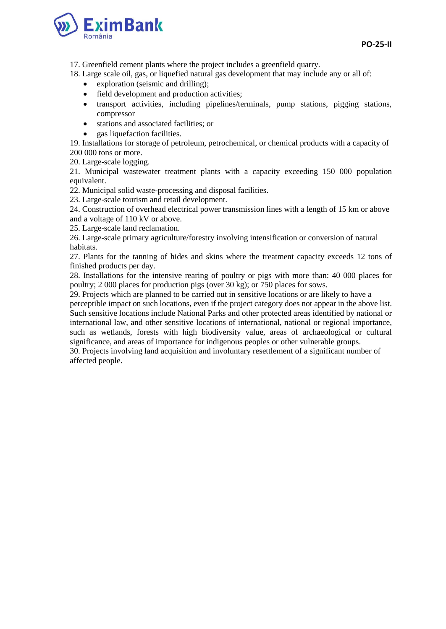

17. Greenfield cement plants where the project includes a greenfield quarry.

- 18. Large scale oil, gas, or liquefied natural gas development that may include any or all of:
	- exploration (seismic and drilling);
	- field development and production activities;
	- transport activities, including pipelines/terminals, pump stations, pigging stations, compressor
	- stations and associated facilities; or
	- gas liquefaction facilities.

19. Installations for storage of petroleum, petrochemical, or chemical products with a capacity of 200 000 tons or more.

20. Large-scale logging.

21. Municipal wastewater treatment plants with a capacity exceeding 150 000 population equivalent.

22. Municipal solid waste-processing and disposal facilities.

23. Large-scale tourism and retail development.

24. Construction of overhead electrical power transmission lines with a length of 15 km or above and a voltage of 110 kV or above.

25. Large-scale land reclamation.

26. Large-scale primary agriculture/forestry involving intensification or conversion of natural habitats.

27. Plants for the tanning of hides and skins where the treatment capacity exceeds 12 tons of finished products per day.

28. Installations for the intensive rearing of poultry or pigs with more than: 40 000 places for poultry; 2 000 places for production pigs (over 30 kg); or 750 places for sows.

29. Projects which are planned to be carried out in sensitive locations or are likely to have a perceptible impact on such locations, even if the project category does not appear in the above list. Such sensitive locations include National Parks and other protected areas identified by national or international law, and other sensitive locations of international, national or regional importance, such as wetlands, forests with high biodiversity value, areas of archaeological or cultural significance, and areas of importance for indigenous peoples or other vulnerable groups.

30. Projects involving land acquisition and involuntary resettlement of a significant number of affected people.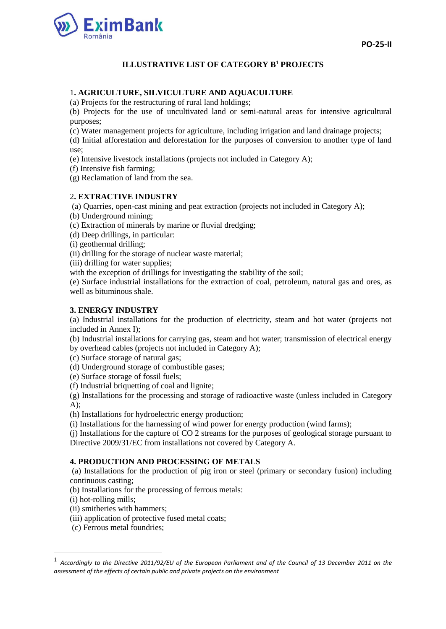



# **ILLUSTRATIVE LIST OF CATEGORY B<sup>1</sup> PROJECTS**

### 1**. AGRICULTURE, SILVICULTURE AND AQUACULTURE**

(a) Projects for the restructuring of rural land holdings;

(b) Projects for the use of uncultivated land or semi-natural areas for intensive agricultural purposes;

(c) Water management projects for agriculture, including irrigation and land drainage projects;

(d) Initial afforestation and deforestation for the purposes of conversion to another type of land use;

(e) Intensive livestock installations (projects not included in Category A);

(f) Intensive fish farming;

(g) Reclamation of land from the sea.

#### 2**. EXTRACTIVE INDUSTRY**

(a) Quarries, open-cast mining and peat extraction (projects not included in Category A);

(b) Underground mining;

(c) Extraction of minerals by marine or fluvial dredging;

(d) Deep drillings, in particular:

(i) geothermal drilling;

(ii) drilling for the storage of nuclear waste material;

(iii) drilling for water supplies;

with the exception of drillings for investigating the stability of the soil;

(e) Surface industrial installations for the extraction of coal, petroleum, natural gas and ores, as well as bituminous shale.

### **3. ENERGY INDUSTRY**

(a) Industrial installations for the production of electricity, steam and hot water (projects not included in Annex I);

(b) Industrial installations for carrying gas, steam and hot water; transmission of electrical energy by overhead cables (projects not included in Category A);

(c) Surface storage of natural gas;

(d) Underground storage of combustible gases;

(e) Surface storage of fossil fuels;

(f) Industrial briquetting of coal and lignite;

(g) Installations for the processing and storage of radioactive waste (unless included in Category A);

(h) Installations for hydroelectric energy production;

(i) Installations for the harnessing of wind power for energy production (wind farms);

(j) Installations for the capture of CO 2 streams for the purposes of geological storage pursuant to Directive 2009/31/EC from installations not covered by Category A.

### **4. PRODUCTION AND PROCESSING OF METALS**

(a) Installations for the production of pig iron or steel (primary or secondary fusion) including continuous casting;

(b) Installations for the processing of ferrous metals:

(i) hot-rolling mills;

**.** 

(ii) smitheries with hammers;

(iii) application of protective fused metal coats;

(c) Ferrous metal foundries;

<sup>1</sup> *Accordingly to the Directive 2011/92/EU of the European Parliament and of the Council of 13 December 2011 on the assessment of the effects of certain public and private projects on the environment*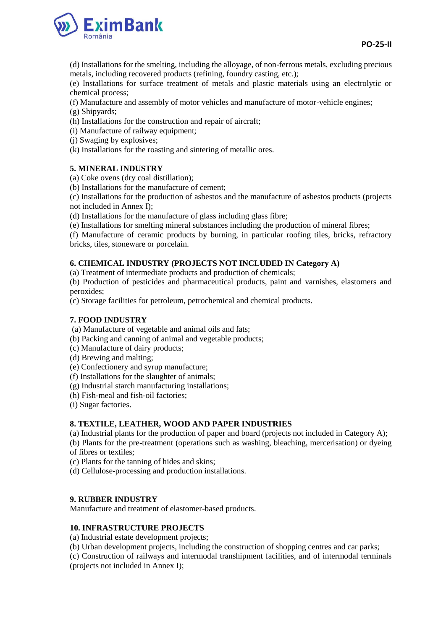

(d) Installations for the smelting, including the alloyage, of non-ferrous metals, excluding precious metals, including recovered products (refining, foundry casting, etc.);

(e) Installations for surface treatment of metals and plastic materials using an electrolytic or chemical process;

(f) Manufacture and assembly of motor vehicles and manufacture of motor-vehicle engines;

- (g) Shipyards;
- (h) Installations for the construction and repair of aircraft;

(i) Manufacture of railway equipment;

- (j) Swaging by explosives;
- (k) Installations for the roasting and sintering of metallic ores.

### **5. MINERAL INDUSTRY**

(a) Coke ovens (dry coal distillation);

(b) Installations for the manufacture of cement;

(c) Installations for the production of asbestos and the manufacture of asbestos products (projects not included in Annex I);

(d) Installations for the manufacture of glass including glass fibre;

(e) Installations for smelting mineral substances including the production of mineral fibres;

(f) Manufacture of ceramic products by burning, in particular roofing tiles, bricks, refractory bricks, tiles, stoneware or porcelain.

### **6. CHEMICAL INDUSTRY (PROJECTS NOT INCLUDED IN Category A)**

(a) Treatment of intermediate products and production of chemicals;

(b) Production of pesticides and pharmaceutical products, paint and varnishes, elastomers and peroxides;

(c) Storage facilities for petroleum, petrochemical and chemical products.

### **7. FOOD INDUSTRY**

(a) Manufacture of vegetable and animal oils and fats;

(b) Packing and canning of animal and vegetable products;

(c) Manufacture of dairy products;

- (d) Brewing and malting;
- (e) Confectionery and syrup manufacture;

(f) Installations for the slaughter of animals;

- (g) Industrial starch manufacturing installations;
- (h) Fish-meal and fish-oil factories;

(i) Sugar factories.

## **8. TEXTILE, LEATHER, WOOD AND PAPER INDUSTRIES**

(a) Industrial plants for the production of paper and board (projects not included in Category A);

(b) Plants for the pre-treatment (operations such as washing, bleaching, mercerisation) or dyeing of fibres or textiles;

(c) Plants for the tanning of hides and skins;

(d) Cellulose-processing and production installations.

## **9. RUBBER INDUSTRY**

Manufacture and treatment of elastomer-based products.

# **10. INFRASTRUCTURE PROJECTS**

(a) Industrial estate development projects;

(b) Urban development projects, including the construction of shopping centres and car parks;

(c) Construction of railways and intermodal transhipment facilities, and of intermodal terminals (projects not included in Annex I);